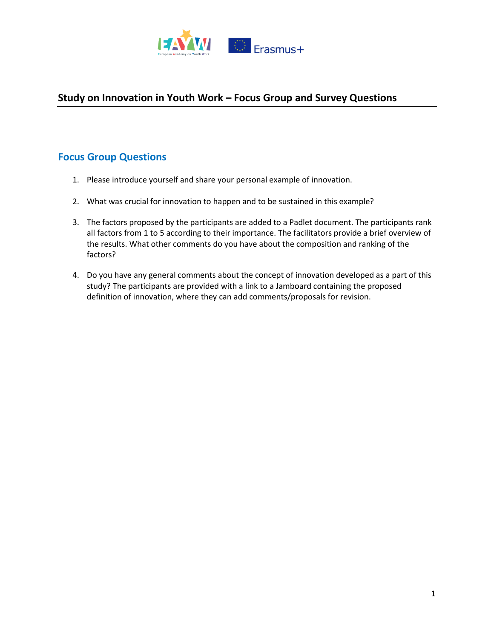

# **Study on Innovation in Youth Work – Focus Group and Survey Questions**

## **Focus Group Questions**

- 1. Please introduce yourself and share your personal example of innovation.
- 2. What was crucial for innovation to happen and to be sustained in this example?
- 3. The factors proposed by the participants are added to a Padlet document. The participants rank all factors from 1 to 5 according to their importance. The facilitators provide a brief overview of the results. What other comments do you have about the composition and ranking of the factors?
- 4. Do you have any general comments about the concept of innovation developed as a part of this study? The participants are provided with a link to a Jamboard containing the proposed definition of innovation, where they can add comments/proposals for revision.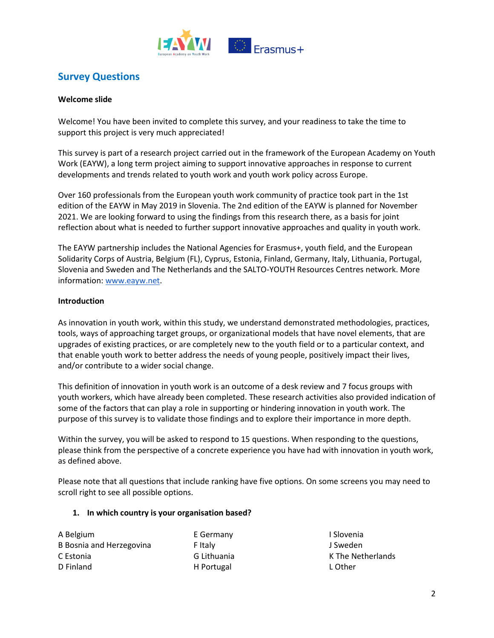

## **Survey Questions**

## **Welcome slide**

Welcome! You have been invited to complete this survey, and your readiness to take the time to support this project is very much appreciated!

This survey is part of a research project carried out in the framework of the European Academy on Youth Work (EAYW), a long term project aiming to support innovative approaches in response to current developments and trends related to youth work and youth work policy across Europe.

Over 160 professionals from the European youth work community of practice took part in the 1st edition of the EAYW in May 2019 in Slovenia. The 2nd edition of the EAYW is planned for November 2021. We are looking forward to using the findings from this research there, as a basis for joint reflection about what is needed to further support innovative approaches and quality in youth work.

The EAYW partnership includes the National Agencies for Erasmus+, youth field, and the European Solidarity Corps of Austria, Belgium (FL), Cyprus, Estonia, Finland, Germany, Italy, Lithuania, Portugal, Slovenia and Sweden and The Netherlands and the SALTO-YOUTH Resources Centres network. More information[: www.eayw.net.](http://www.eayw.net/)

## **Introduction**

As innovation in youth work, within this study, we understand demonstrated methodologies, practices, tools, ways of approaching target groups, or organizational models that have novel elements, that are upgrades of existing practices, or are completely new to the youth field or to a particular context, and that enable youth work to better address the needs of young people, positively impact their lives, and/or contribute to a wider social change.

This definition of innovation in youth work is an outcome of a desk review and 7 focus groups with youth workers, which have already been completed. These research activities also provided indication of some of the factors that can play a role in supporting or hindering innovation in youth work. The purpose of this survey is to validate those findings and to explore their importance in more depth.

Within the survey, you will be asked to respond to 15 questions. When responding to the questions, please think from the perspective of a concrete experience you have had with innovation in youth work, as defined above.

Please note that all questions that include ranking have five options. On some screens you may need to scroll right to see all possible options.

## **1. In which country is your organisation based?**

A Belgium B Bosnia and Herzegovina C Estonia D Finland

E Germany F Italy G Lithuania H Portugal

I Slovenia J Sweden K The Netherlands L Other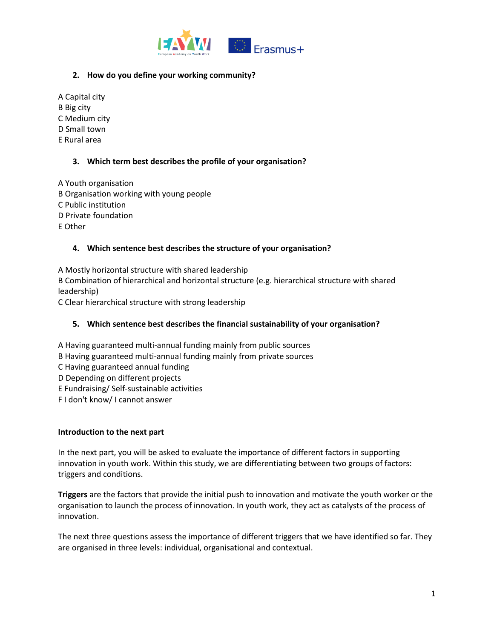

## **2. How do you define your working community?**

A Capital city B Big city C Medium city D Small town E Rural area

## **3. Which term best describes the profile of your organisation?**

A Youth organisation B Organisation working with young people C Public institution D Private foundation E Other

## **4. Which sentence best describes the structure of your organisation?**

A Mostly horizontal structure with shared leadership B Combination of hierarchical and horizontal structure (e.g. hierarchical structure with shared leadership) C Clear hierarchical structure with strong leadership

## **5. Which sentence best describes the financial sustainability of your organisation?**

- A Having guaranteed multi-annual funding mainly from public sources B Having guaranteed multi-annual funding mainly from private sources C Having guaranteed annual funding D Depending on different projects
- E Fundraising/ Self-sustainable activities
- F I don't know/ I cannot answer

## **Introduction to the next part**

In the next part, you will be asked to evaluate the importance of different factors in supporting innovation in youth work. Within this study, we are differentiating between two groups of factors: triggers and conditions.

**Triggers** are the factors that provide the initial push to innovation and motivate the youth worker or the organisation to launch the process of innovation. In youth work, they act as catalysts of the process of innovation.

The next three questions assess the importance of different triggers that we have identified so far. They are organised in three levels: individual, organisational and contextual.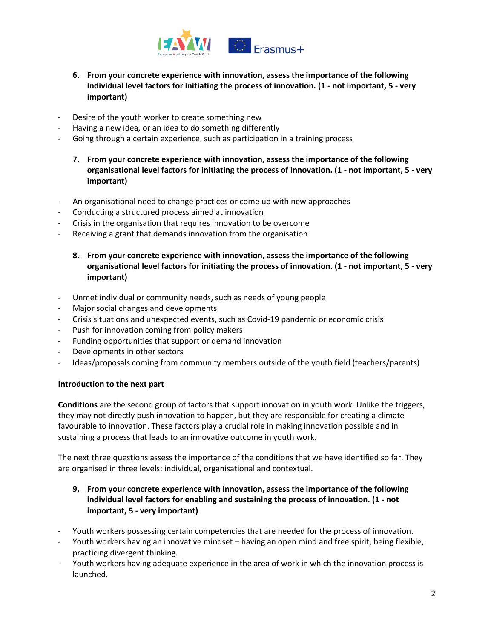

- **6. From your concrete experience with innovation, assess the importance of the following individual level factors for initiating the process of innovation. (1 - not important, 5 - very important)**
- Desire of the youth worker to create something new
- Having a new idea, or an idea to do something differently
- Going through a certain experience, such as participation in a training process
	- **7. From your concrete experience with innovation, assess the importance of the following organisational level factors for initiating the process of innovation. (1 - not important, 5 - very important)**
- An organisational need to change practices or come up with new approaches
- Conducting a structured process aimed at innovation
- Crisis in the organisation that requires innovation to be overcome
- Receiving a grant that demands innovation from the organisation
	- **8. From your concrete experience with innovation, assess the importance of the following organisational level factors for initiating the process of innovation. (1 - not important, 5 - very important)**
- Unmet individual or community needs, such as needs of young people
- Major social changes and developments
- Crisis situations and unexpected events, such as Covid-19 pandemic or economic crisis
- Push for innovation coming from policy makers
- Funding opportunities that support or demand innovation
- Developments in other sectors
- Ideas/proposals coming from community members outside of the youth field (teachers/parents)

## **Introduction to the next part**

**Conditions** are the second group of factors that support innovation in youth work. Unlike the triggers, they may not directly push innovation to happen, but they are responsible for creating a climate favourable to innovation. These factors play a crucial role in making innovation possible and in sustaining a process that leads to an innovative outcome in youth work.

The next three questions assess the importance of the conditions that we have identified so far. They are organised in three levels: individual, organisational and contextual.

- **9. From your concrete experience with innovation, assess the importance of the following individual level factors for enabling and sustaining the process of innovation. (1 - not important, 5 - very important)**
- Youth workers possessing certain competencies that are needed for the process of innovation.
- Youth workers having an innovative mindset having an open mind and free spirit, being flexible, practicing divergent thinking.
- Youth workers having adequate experience in the area of work in which the innovation process is launched.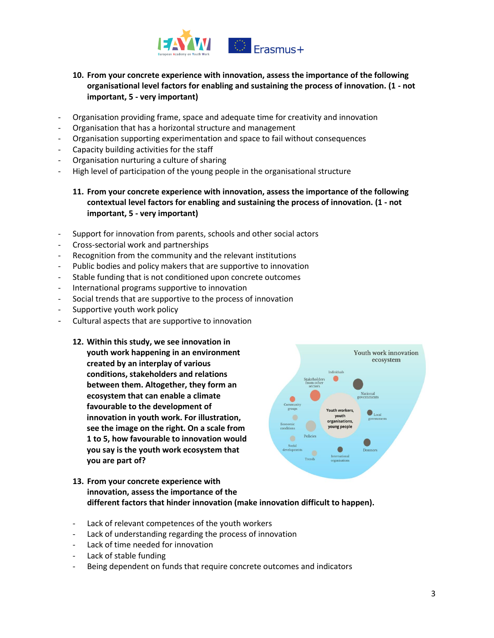

## **10. From your concrete experience with innovation, assess the importance of the following organisational level factors for enabling and sustaining the process of innovation. (1 - not important, 5 - very important)**

- Organisation providing frame, space and adequate time for creativity and innovation
- Organisation that has a horizontal structure and management
- Organisation supporting experimentation and space to fail without consequences
- Capacity building activities for the staff
- Organisation nurturing a culture of sharing
- High level of participation of the young people in the organisational structure

## **11. From your concrete experience with innovation, assess the importance of the following contextual level factors for enabling and sustaining the process of innovation. (1 - not important, 5 - very important)**

- Support for innovation from parents, schools and other social actors
- Cross-sectorial work and partnerships
- Recognition from the community and the relevant institutions
- Public bodies and policy makers that are supportive to innovation
- Stable funding that is not conditioned upon concrete outcomes
- International programs supportive to innovation
- Social trends that are supportive to the process of innovation
- Supportive youth work policy
- Cultural aspects that are supportive to innovation
	- **12. Within this study, we see innovation in youth work happening in an environment created by an interplay of various conditions, stakeholders and relations between them. Altogether, they form an ecosystem that can enable a climate favourable to the development of innovation in youth work. For illustration, see the image on the right. On a scale from 1 to 5, how favourable to innovation would you say is the youth work ecosystem that you are part of?**



- **13. From your concrete experience with innovation, assess the importance of the different factors that hinder innovation (make innovation difficult to happen).**
- Lack of relevant competences of the youth workers
- Lack of understanding regarding the process of innovation
- Lack of time needed for innovation
- Lack of stable funding
- Being dependent on funds that require concrete outcomes and indicators